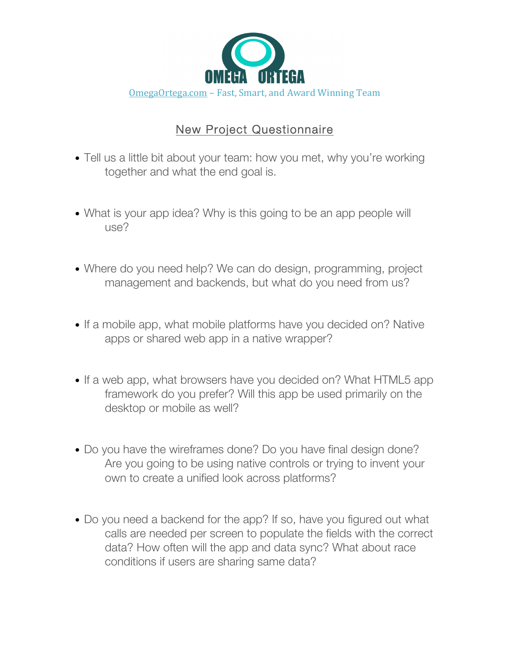

## New Project Questionnaire

- Tell us a little bit about your team: how you met, why you're working together and what the end goal is.
- What is your app idea? Why is this going to be an app people will use?
- Where do you need help? We can do design, programming, project management and backends, but what do you need from us?
- If a mobile app, what mobile platforms have you decided on? Native apps or shared web app in a native wrapper?
- If a web app, what browsers have you decided on? What HTML5 app framework do you prefer? Will this app be used primarily on the desktop or mobile as well?
- Do you have the wireframes done? Do you have final design done? Are you going to be using native controls or trying to invent your own to create a unified look across platforms?
- Do you need a backend for the app? If so, have you figured out what calls are needed per screen to populate the fields with the correct data? How often will the app and data sync? What about race conditions if users are sharing same data?